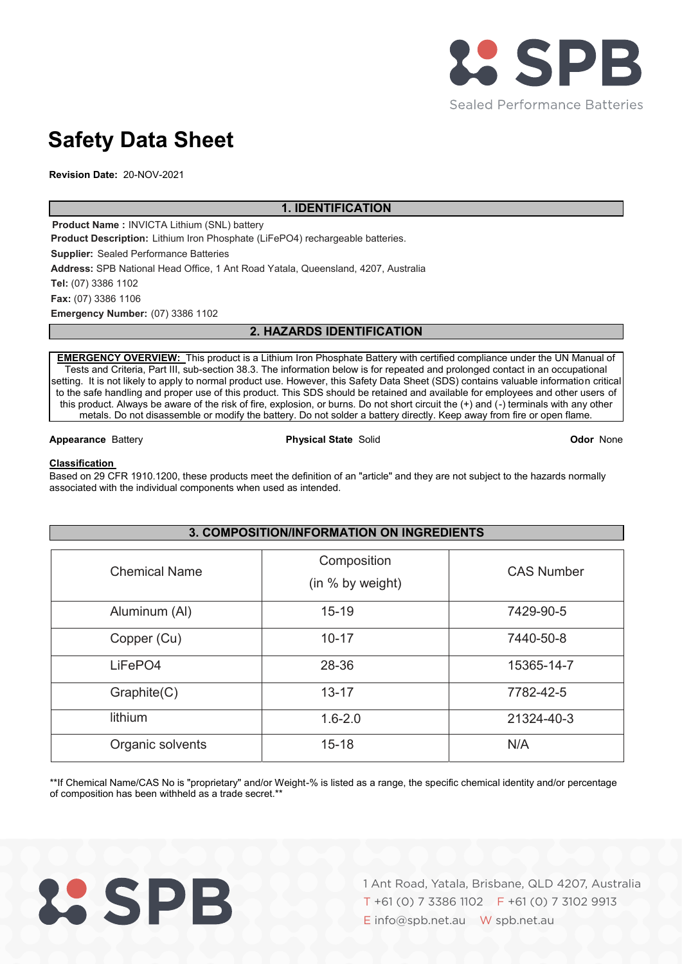

# **Safety Data Sheet**

**Revision Date:** 20-NOV-2021

、

# **1. IDENTIFICATION**

**Product Name :** INVICTA Lithium (SNL) battery **Product Description:** Lithium Iron Phosphate (LiFePO4) rechargeable batteries. **Supplier:** Sealed Performance Batteries **Address:** SPB National Head Office, 1 Ant Road Yatala, Queensland, 4207, Australia **Tel:** (07) 3386 1102 **Fax:** (07) 3386 1106 **Emergency Number:** (07) 3386 1102

# **2. HAZARDS IDENTIFICATION**

、 setting. It is not likely to apply to normal product use. However, this Safety Data Sheet (SDS) contains valuable information critical **EMERGENCY OVERVIEW:** This product is a Lithium Iron Phosphate Battery with certified compliance under the UN Manual of Tests and Criteria, Part III, sub-section 38.3. The information below is for repeated and prolonged contact in an occupational to the safe handling and proper use of this product. This SDS should be retained and available for employees and other users of this product. Always be aware of the risk of fire, explosion, or burns. Do not short circuit the (+) and (-) terminals with any other metals. Do not disassemble or modify the battery. Do not solder a battery directly. Keep away from fire or open flame.

## **Appearance** Battery **Physical State** Solid **Odor** None

## **Classification**

Based on 29 CFR 1910.1200, these products meet the definition of an "article" and they are not subject to the hazards normally associated with the individual components when used as intended.

| 3. COMPOSITION/INFORMATION ON INGREDIENTS |                                 |                   |  |
|-------------------------------------------|---------------------------------|-------------------|--|
| <b>Chemical Name</b>                      | Composition<br>(in % by weight) | <b>CAS Number</b> |  |
| Aluminum (AI)                             | $15 - 19$                       | 7429-90-5         |  |
| Copper (Cu)                               | $10 - 17$                       | 7440-50-8         |  |
| LiFePO4                                   | 28-36                           | 15365-14-7        |  |
| Graphite(C)                               | $13 - 17$                       | 7782-42-5         |  |
| lithium                                   | $1.6 - 2.0$                     | 21324-40-3        |  |
| Organic solvents                          | $15 - 18$                       | N/A               |  |

\*\*If Chemical Name/CAS No is "proprietary" and/or Weight-% is listed as a range, the specific chemical identity and/or percentage of composition has been withheld as a trade secret.\*\*

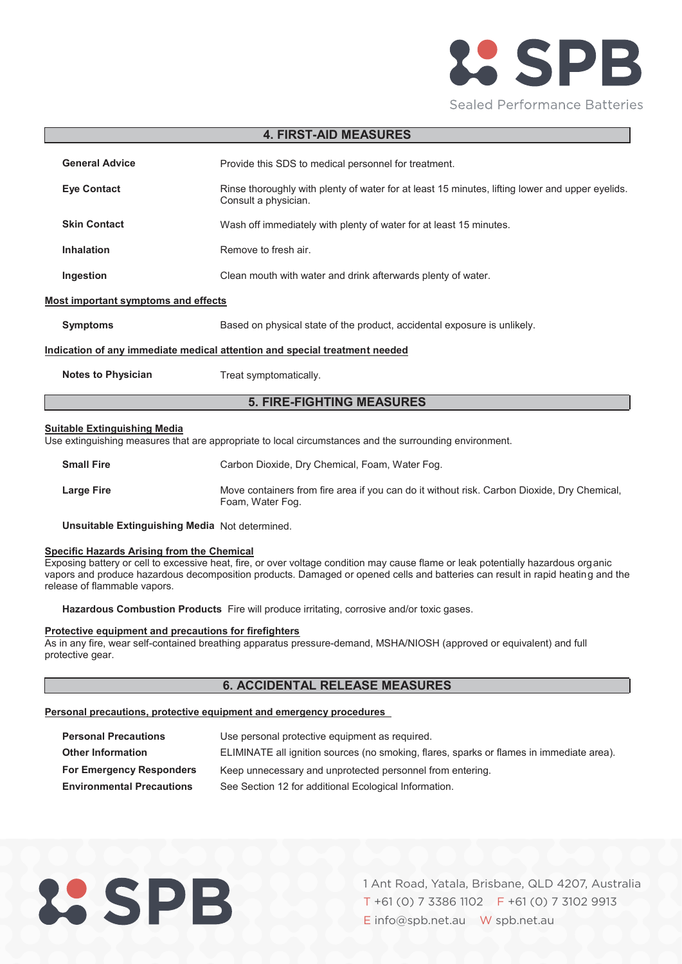

## **4. FIRST-AID MEASURES**

| <b>General Advice</b>                                                      | Provide this SDS to medical personnel for treatment.                                                                    |  |  |
|----------------------------------------------------------------------------|-------------------------------------------------------------------------------------------------------------------------|--|--|
| <b>Eve Contact</b>                                                         | Rinse thoroughly with plenty of water for at least 15 minutes, lifting lower and upper eyelids.<br>Consult a physician. |  |  |
| <b>Skin Contact</b>                                                        | Wash off immediately with plenty of water for at least 15 minutes.                                                      |  |  |
| <b>Inhalation</b>                                                          | Remove to fresh air.                                                                                                    |  |  |
| Ingestion                                                                  | Clean mouth with water and drink afterwards plenty of water.                                                            |  |  |
| <b>Most important symptoms and effects</b>                                 |                                                                                                                         |  |  |
| <b>Symptoms</b>                                                            | Based on physical state of the product, accidental exposure is unlikely.                                                |  |  |
| Indication of any immediate medical attention and special treatment needed |                                                                                                                         |  |  |
| <b>Notes to Physician</b>                                                  | Treat symptomatically.                                                                                                  |  |  |
| <b>5. FIRE-FIGHTING MEASURES</b>                                           |                                                                                                                         |  |  |
|                                                                            |                                                                                                                         |  |  |

#### **Suitable Extinguishing Media**

Use extinguishing measures that are appropriate to local circumstances and the surrounding environment.

| <b>Small Fire</b> | Carbon Dioxide, Dry Chemical, Foam, Water Fog.                                                                  |
|-------------------|-----------------------------------------------------------------------------------------------------------------|
| <b>Large Fire</b> | Move containers from fire area if you can do it without risk. Carbon Dioxide, Dry Chemical,<br>Foam, Water Fog. |

**Unsuitable Extinguishing Media** Not determined.

#### **Specific Hazards Arising from the Chemical**

Exposing battery or cell to excessive heat, fire, or over voltage condition may cause flame or leak potentially hazardous organic vapors and produce hazardous decomposition products. Damaged or opened cells and batteries can result in rapid heating and the release of flammable vapors.

**Hazardous Combustion Products** Fire will produce irritating, corrosive and/or toxic gases.

#### **Protective equipment and precautions for firefighters**

As in any fire, wear self-contained breathing apparatus pressure-demand, MSHA/NIOSH (approved or equivalent) and full protective gear.

# **6. ACCIDENTAL RELEASE MEASURES**

## **Personal precautions, protective equipment and emergency procedures**

| <b>Personal Precautions</b>      | Use personal protective equipment as required.                                           |
|----------------------------------|------------------------------------------------------------------------------------------|
| <b>Other Information</b>         | ELIMINATE all ignition sources (no smoking, flares, sparks or flames in immediate area). |
| <b>For Emergency Responders</b>  | Keep unnecessary and unprotected personnel from entering.                                |
| <b>Environmental Precautions</b> | See Section 12 for additional Ecological Information.                                    |

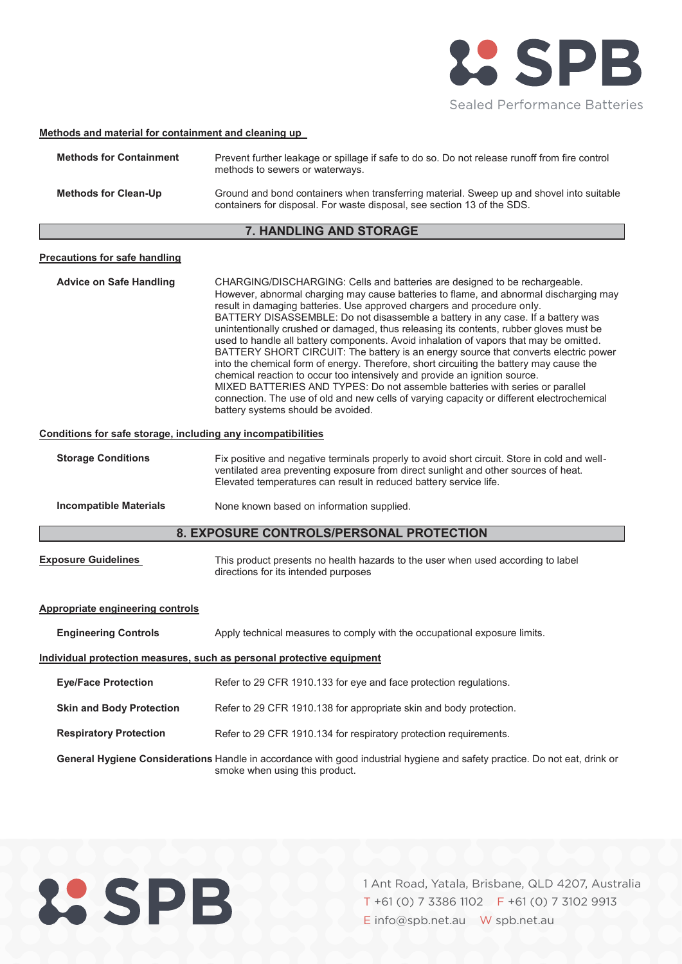

## **Methods and material for containment and cleaning up**

| <b>Methods for Containment</b> | Prevent further leakage or spillage if safe to do so. Do not release runoff from fire control<br>methods to sewers or waterways.                                    |
|--------------------------------|---------------------------------------------------------------------------------------------------------------------------------------------------------------------|
| <b>Methods for Clean-Up</b>    | Ground and bond containers when transferring material. Sweep up and shovel into suitable<br>containers for disposal. For waste disposal, see section 13 of the SDS. |

# **7. HANDLING AND STORAGE**

#### **Precautions for safe handling**

**Advice on Safe Handling** CHARGING/DISCHARGING: Cells and batteries are designed to be rechargeable. However, abnormal charging may cause batteries to flame, and abnormal discharging may result in damaging batteries. Use approved chargers and procedure only. BATTERY DISASSEMBLE: Do not disassemble a battery in any case. If a battery was unintentionally crushed or damaged, thus releasing its contents, rubber gloves must be used to handle all battery components. Avoid inhalation of vapors that may be omitted. BATTERY SHORT CIRCUIT: The battery is an energy source that converts electric power into the chemical form of energy. Therefore, short circuiting the battery may cause the chemical reaction to occur too intensively and provide an ignition source. MIXED BATTERIES AND TYPES: Do not assemble batteries with series or parallel connection. The use of old and new cells of varying capacity or different electrochemical battery systems should be avoided.

## **Conditions for safe storage, including any incompatibilities**

| <b>Storage Conditions</b>                | Fix positive and negative terminals properly to avoid short circuit. Store in cold and well-<br>ventilated area preventing exposure from direct sunlight and other sources of heat.<br>Elevated temperatures can result in reduced battery service life. |  |  |
|------------------------------------------|----------------------------------------------------------------------------------------------------------------------------------------------------------------------------------------------------------------------------------------------------------|--|--|
| <b>Incompatible Materials</b>            | None known based on information supplied.                                                                                                                                                                                                                |  |  |
| 8. EXPOSURE CONTROLS/PERSONAL PROTECTION |                                                                                                                                                                                                                                                          |  |  |
| <b>Exposure Guidelines</b>               | This product presents no health hazards to the user when used according to label                                                                                                                                                                         |  |  |

directions for its intended purposes

#### **Appropriate engineering controls**

| <b>Engineering Controls</b>                                           | Apply technical measures to comply with the occupational exposure limits.                                                                                           |  |  |
|-----------------------------------------------------------------------|---------------------------------------------------------------------------------------------------------------------------------------------------------------------|--|--|
| Individual protection measures, such as personal protective equipment |                                                                                                                                                                     |  |  |
| <b>Eye/Face Protection</b>                                            | Refer to 29 CFR 1910.133 for eye and face protection regulations.                                                                                                   |  |  |
| <b>Skin and Body Protection</b>                                       | Refer to 29 CFR 1910.138 for appropriate skin and body protection.                                                                                                  |  |  |
| <b>Respiratory Protection</b>                                         | Refer to 29 CFR 1910.134 for respiratory protection requirements.                                                                                                   |  |  |
|                                                                       | <b>General Hygiene Considerations</b> Handle in accordance with good industrial hygiene and safety practice. Do not eat, drink or<br>smoke when using this product. |  |  |

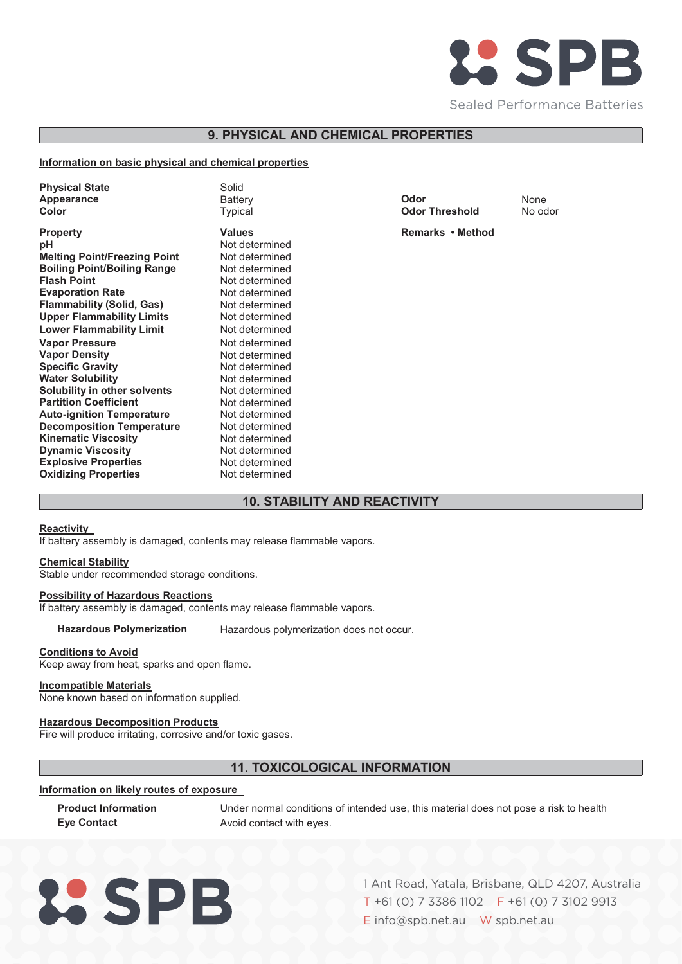

# **9. PHYSICAL AND CHEMICAL PROPERTIES**

## **Information on basic physical and chemical properties**

| <b>Physical State</b><br>Appearance<br>Color                                                                                                                                                                                                                                                                                                                                                                                                                                                                                                | Solid<br><b>Battery</b><br>Typical                                                                                                                                                                                                                                                                                              | Odor<br><b>Odor Threshold</b> | None<br>No od |
|---------------------------------------------------------------------------------------------------------------------------------------------------------------------------------------------------------------------------------------------------------------------------------------------------------------------------------------------------------------------------------------------------------------------------------------------------------------------------------------------------------------------------------------------|---------------------------------------------------------------------------------------------------------------------------------------------------------------------------------------------------------------------------------------------------------------------------------------------------------------------------------|-------------------------------|---------------|
| <b>Property</b><br>рH<br><b>Melting Point/Freezing Point</b><br><b>Boiling Point/Boiling Range</b><br><b>Flash Point</b><br><b>Evaporation Rate</b><br><b>Flammability (Solid, Gas)</b><br><b>Upper Flammability Limits</b><br><b>Lower Flammability Limit</b><br><b>Vapor Pressure</b><br><b>Vapor Density</b><br><b>Specific Gravity</b><br><b>Water Solubility</b><br>Solubility in other solvents<br><b>Partition Coefficient</b><br><b>Auto-ignition Temperature</b><br><b>Decomposition Temperature</b><br><b>Kinematic Viscosity</b> | <b>Values</b><br>Not determined<br>Not determined<br>Not determined<br>Not determined<br>Not determined<br>Not determined<br>Not determined<br>Not determined<br>Not determined<br>Not determined<br>Not determined<br>Not determined<br>Not determined<br>Not determined<br>Not determined<br>Not determined<br>Not determined | Remarks • Method              |               |
| <b>Dynamic Viscosity</b><br><b>Explosive Properties</b><br><b>Oxidizing Properties</b>                                                                                                                                                                                                                                                                                                                                                                                                                                                      | Not determined<br>Not determined<br>Not determined                                                                                                                                                                                                                                                                              |                               |               |

**Odor Threshold** No odor

# **10. STABILITY AND REACTIVITY**

## **Reactivity**

If battery assembly is damaged, contents may release flammable vapors.

## **Chemical Stability**

Stable under recommended storage conditions.

## **Possibility of Hazardous Reactions**

If battery assembly is damaged, contents may release flammable vapors.

## **Hazardous Polymerization** Hazardous polymerization does not occur.

## **Conditions to Avoid**

Keep away from heat, sparks and open flame.

# **Incompatible Materials**

None known based on information supplied.

## **Hazardous Decomposition Products**

Fire will produce irritating, corrosive and/or toxic gases.

# **11. TOXICOLOGICAL INFORMATION**

## 、 **Information on likely routes of exposure**

**Product Information Under normal conditions of intended use, this material does not pose a risk to health Eye Contact Avoid contact with eyes.** 

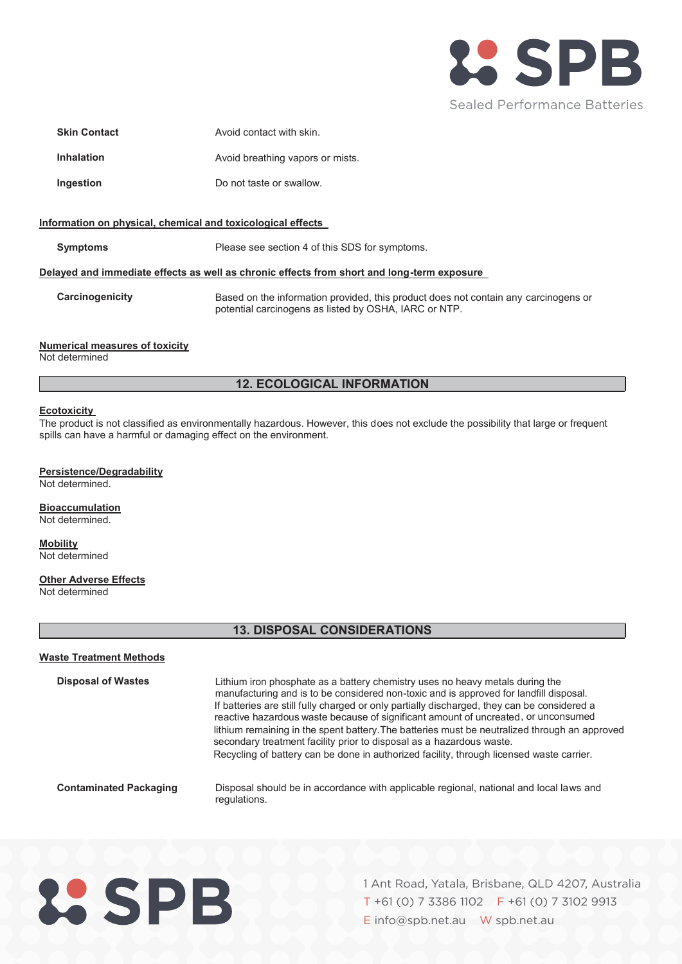

| <b>Skin Contact</b> | Avoid contact with skin.         |
|---------------------|----------------------------------|
| <b>Inhalation</b>   | Avoid breathing vapors or mists. |
| Ingestion           | Do not taste or swallow.         |

#### **Information on physical, chemical and toxicological effects**

**Symptoms** Please see section 4 of this SDS for symptoms.

#### **Delayed and immediate effects as well as chronic effects from short and long-term exposure**

**Carcinogenicity** Based on the information provided, this product does not contain any carcinogens or potential carcinogens as listed by OSHA, IARC or NTP.

#### **Numerical measures of toxicity**

 $\overline{a}$ 

Not determined

## **12. ECOLOGICAL INFORMATION**

#### **Ecotoxicity**

The product is not classified as environmentally hazardous. However, this does not exclude the possibility that large or frequent spills can have a harmful or damaging effect on the environment.

## **Persistence/Degradability**

Not determined.

## **Bioaccumulation**

Not determined.

# **Mobility**

Not determined

## **Other Adverse Effects**

Not determined

## **13. DISPOSAL CONSIDERATIONS**

#### **Waste Treatment Methods**

**Contaminated Packaging Disposal of Wastes** Lithium iron phosphate as a battery chemistry uses no heavy metals during the manufacturing and is to be considered non-toxic and is approved for landfill disposal. Disposal should be in accordance with applicable regional, national and local laws and regulations. If batteries are still fully charged or only partially discharged, they can be considered a reactive hazardous waste because of significant amount of uncreated, or unconsumed lithium remaining in the spent battery. The batteries must be neutralized through an approved secondary treatment facility prior to disposal as a hazardous waste. Recycling of battery can be done in authorized facility, through licensed waste carrier.

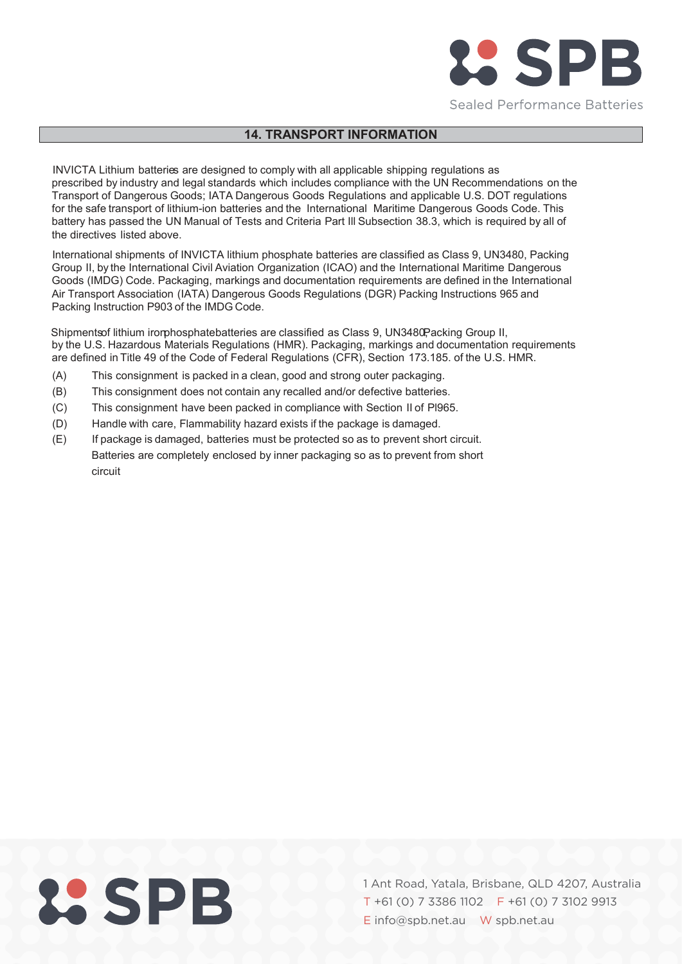

# **14. TRANSPORT INFORMATION**

for the safe transport of lithium-ion batteries and the International Maritime Dangerous Goods Code. This INVICTA Lithium batteries are designed to comply with all applicable shipping regulations as prescribed by industry and legal standards which includes compliance with the UN Recommendations on the Transport of Dangerous Goods; IATA Dangerous Goods Regulations and applicable U.S. DOT regulations battery has passed the UN Manual of Tests and Criteria Part Ill Subsection 38.3, which is required by all of the directives listed above.

International shipments of INVICTA lithium phosphate batteries are classified as Class 9, UN3480, Packing Group II, by the International Civil Aviation Organization (ICAO) and the International Maritime Dangerous Goods (IMDG) Code. Packaging, markings and documentation requirements are defined in the International Air Transport Association (IATA) Dangerous Goods Regulations (DGR) Packing Instructions 965 and Packing Instruction P903 of the IMDG Code.

Shipmentsof lithium irorphosphatebatteries are classified as Class 9, UN3480Packing Group II, by the U.S. Hazardous Materials Regulations (HMR). Packaging, markings and documentation requirements are defined in Title 49 of the Code of Federal Regulations (CFR), Section 173.185. of the U.S. HMR.

- 、 (A) This consignment is packed in a clean, good and strong outer packaging.
- (B) This consignment does not contain any recalled and/or defective batteries.
- (C) This consignment have been packed in compliance with Section II of Pl965.
- (D) Handle with care, Flammability hazard exists if the package is damaged.
- (E) If package is damaged, batteries must be protected so as to prevent short circuit. Batteries are completely enclosed by inner packaging so as to prevent from short circuit